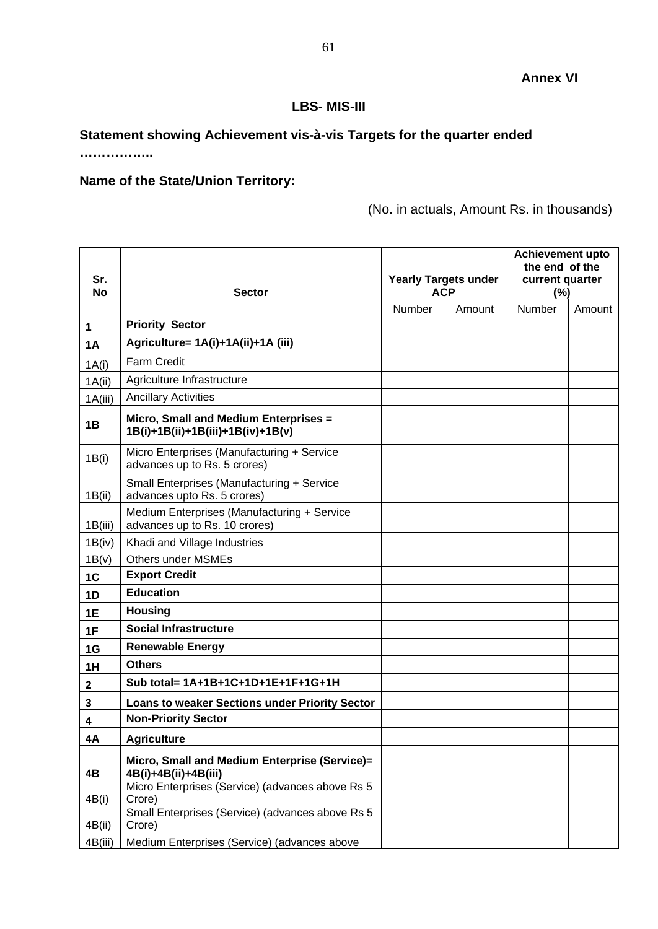## **LBS- MIS-III**

## **Statement showing Achievement vis-à-vis Targets for the quarter ended**

**……………..**

## **Name of the State/Union Territory:**

(No. in actuals, Amount Rs. in thousands)

|                  |                                                                              |                             |        | <b>Achievement upto</b><br>the end of the |        |
|------------------|------------------------------------------------------------------------------|-----------------------------|--------|-------------------------------------------|--------|
| Sr.              |                                                                              | <b>Yearly Targets under</b> |        | current quarter                           |        |
| No               | <b>Sector</b>                                                                | <b>ACP</b>                  |        | (%)                                       |        |
|                  |                                                                              | Number                      | Amount | Number                                    | Amount |
| 1                | <b>Priority Sector</b>                                                       |                             |        |                                           |        |
| <b>1A</b>        | Agriculture= 1A(i)+1A(ii)+1A (iii)                                           |                             |        |                                           |        |
| 1A(i)            | <b>Farm Credit</b>                                                           |                             |        |                                           |        |
| 1A(ii)           | Agriculture Infrastructure                                                   |                             |        |                                           |        |
| 1A(iii)          | <b>Ancillary Activities</b>                                                  |                             |        |                                           |        |
| 1B               | Micro, Small and Medium Enterprises =<br>1B(i)+1B(ii)+1B(iii)+1B(iv)+1B(v)   |                             |        |                                           |        |
| 1B(i)            | Micro Enterprises (Manufacturing + Service<br>advances up to Rs. 5 crores)   |                             |        |                                           |        |
| 1B(ii)           | Small Enterprises (Manufacturing + Service<br>advances upto Rs. 5 crores)    |                             |        |                                           |        |
| 1B(iii)          | Medium Enterprises (Manufacturing + Service<br>advances up to Rs. 10 crores) |                             |        |                                           |        |
| 1B(iv)           | Khadi and Village Industries                                                 |                             |        |                                           |        |
| 1B(v)            | <b>Others under MSMEs</b>                                                    |                             |        |                                           |        |
| 1C               | <b>Export Credit</b>                                                         |                             |        |                                           |        |
| 1D               | <b>Education</b>                                                             |                             |        |                                           |        |
| 1E               | <b>Housing</b>                                                               |                             |        |                                           |        |
| 1F               | <b>Social Infrastructure</b>                                                 |                             |        |                                           |        |
| 1G               | <b>Renewable Energy</b>                                                      |                             |        |                                           |        |
| 1H               | <b>Others</b>                                                                |                             |        |                                           |        |
| $\boldsymbol{2}$ | Sub total= 1A+1B+1C+1D+1E+1F+1G+1H                                           |                             |        |                                           |        |
| 3                | Loans to weaker Sections under Priority Sector                               |                             |        |                                           |        |
| 4                | <b>Non-Priority Sector</b>                                                   |                             |        |                                           |        |
| 4A               | <b>Agriculture</b>                                                           |                             |        |                                           |        |
| 4B               | Micro, Small and Medium Enterprise (Service)=<br>4B(i)+4B(ii)+4B(iii)        |                             |        |                                           |        |
| 4B(i)            | Micro Enterprises (Service) (advances above Rs 5<br>Crore)                   |                             |        |                                           |        |
| 4B(ii)           | Small Enterprises (Service) (advances above Rs 5<br>Crore)                   |                             |        |                                           |        |
| 4B(iii)          | Medium Enterprises (Service) (advances above                                 |                             |        |                                           |        |